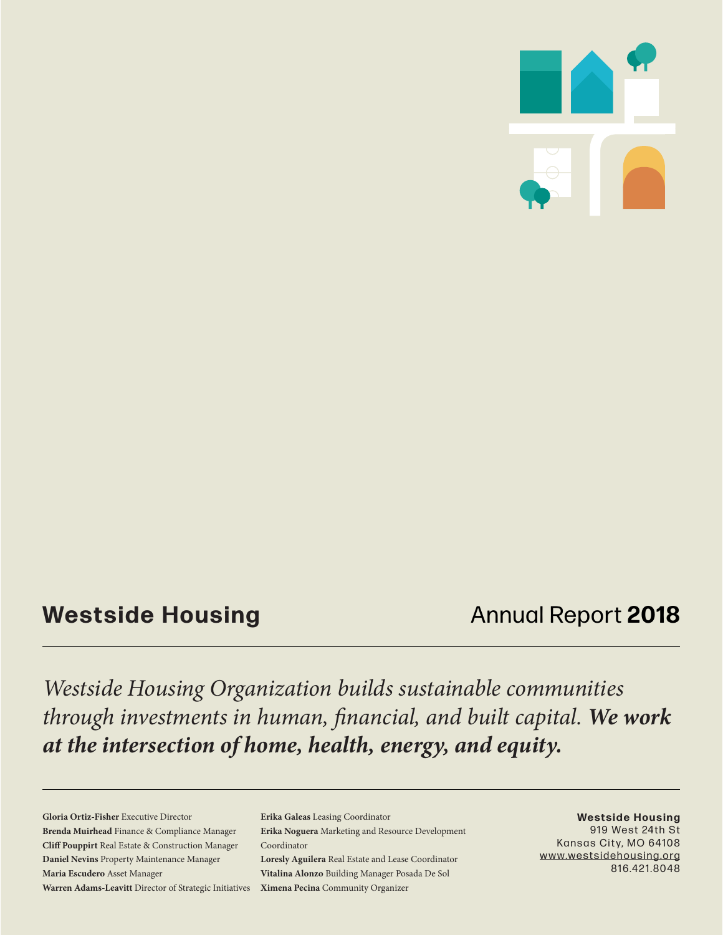

### **Westside Housing Annual Report 2018**

*Westside Housing Organization builds sustainable communities through investments in human, financial, and built capital. We work at the intersection of home, health, energy, and equity.* 

**Gloria Ortiz-Fisher** Executive Director **Brenda Muirhead** Finance & Compliance Manager **Cliff Pouppirt** Real Estate & Construction Manager **Daniel Nevins** Property Maintenance Manager **Maria Escudero** Asset Manager **Warren Adams-Leavitt** Director of Strategic Initiatives

**Erika Galeas** Leasing Coordinator **Erika Noguera** Marketing and Resource Development Coordinator **Loresly Aguilera** Real Estate and Lease Coordinator **Vitalina Alonzo** Building Manager Posada De Sol **Ximena Pecina** Community Organizer

**Westside Housing** 919 West 24th St Kansas City, MO 64108 www.westsidehousing.org 816.421.8048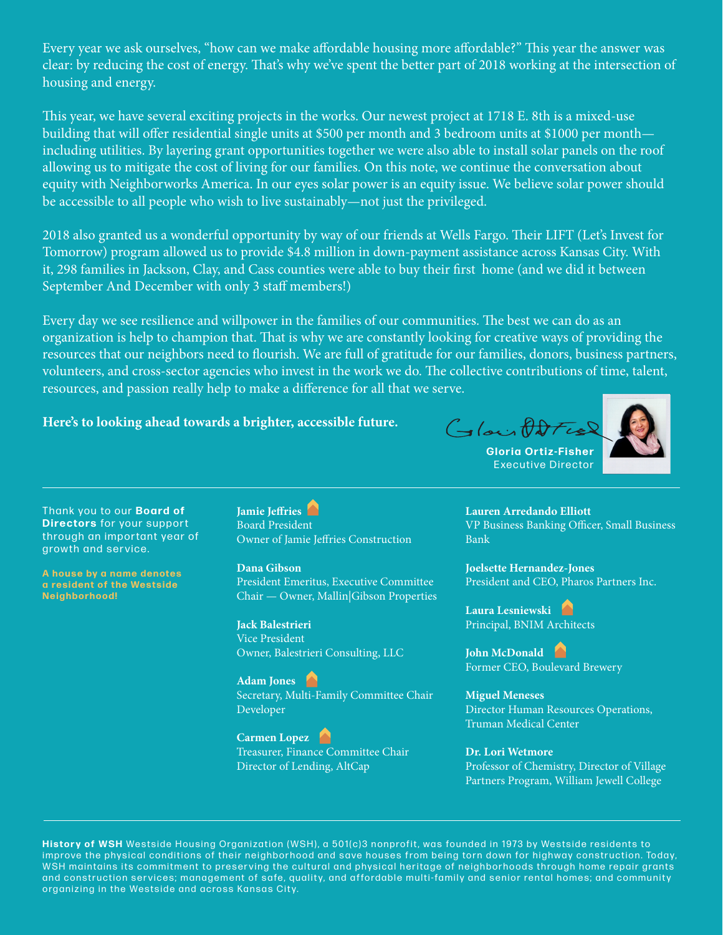Every year we ask ourselves, "how can we make affordable housing more affordable?" This year the answer was clear: by reducing the cost of energy. That's why we've spent the better part of 2018 working at the intersection of housing and energy.

This year, we have several exciting projects in the works. Our newest project at 1718 E. 8th is a mixed-use building that will offer residential single units at \$500 per month and 3 bedroom units at \$1000 per month including utilities. By layering grant opportunities together we were also able to install solar panels on the roof allowing us to mitigate the cost of living for our families. On this note, we continue the conversation about equity with Neighborworks America. In our eyes solar power is an equity issue. We believe solar power should be accessible to all people who wish to live sustainably—not just the privileged.

2018 also granted us a wonderful opportunity by way of our friends at Wells Fargo. Their LIFT (Let's Invest for Tomorrow) program allowed us to provide \$4.8 million in down-payment assistance across Kansas City. With it, 298 families in Jackson, Clay, and Cass counties were able to buy their first home (and we did it between September And December with only 3 staff members!)

Every day we see resilience and willpower in the families of our communities. The best we can do as an organization is help to champion that. That is why we are constantly looking for creative ways of providing the resources that our neighbors need to flourish. We are full of gratitude for our families, donors, business partners, volunteers, and cross-sector agencies who invest in the work we do. The collective contributions of time, talent, resources, and passion really help to make a difference for all that we serve.

#### **Here's to looking ahead towards a brighter, accessible future.**

Glacififties



**Gloria Ortiz-Fisher** Executive Director

Thank you to our **Board of Directors** for your support through an important year of growth and service.

**A house by a name denotes a resident of the Westside N e i g h b o r h o o d !** 

**Jamie Jeffries**  Board President Owner of Jamie Jeffries Construction

**Dana Gibson** President Emeritus, Executive Committee Chair — Owner, Mallin|Gibson Properties

**Jack Balestrieri** Vice President Owner, Balestrieri Consulting, LLC

**Adam Jones**  Secretary, Multi-Family Committee Chair Developer

**Carmen Lopez**  Treasurer, Finance Committee Chair Director of Lending, AltCap

**Lauren Arredando Elliott** VP Business Banking Officer, Small Business Bank

**Joelsette Hernandez-Jones** President and CEO, Pharos Partners Inc.

**Laura Lesniewski**  Principal, BNIM Architects

**John McDonald**  Former CEO, Boulevard Brewery

**Miguel Meneses** Director Human Resources Operations, Truman Medical Center

**Dr. Lori Wetmore** Professor of Chemistry, Director of Village Partners Program, William Jewell College

History of WSH Westside Housing Organization (WSH), a 501(c)3 nonprofit, was founded in 1973 by Westside residents to improve the physical conditions of their neighborhood and save houses from being torn down for highway construction. Today, WSH maintains its commitment to preserving the cultural and physical heritage of neighborhoods through home repair grants and construction services; management of safe, quality, and affordable multi-family and senior rental homes; and community organizing in the Westside and across Kansas City.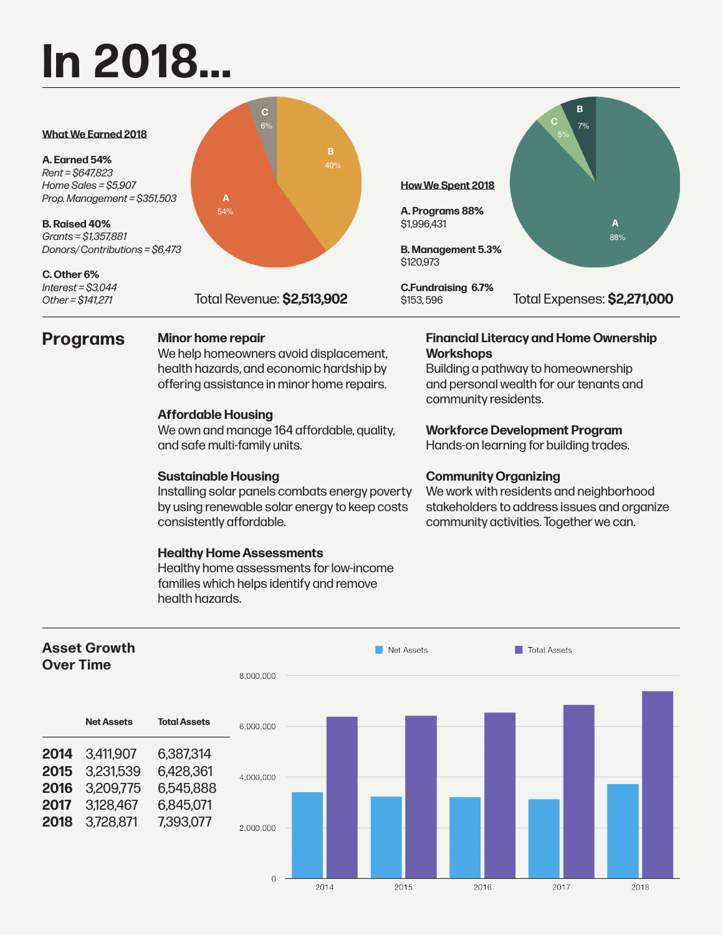# **In 2018...**



### **Programs Minor home repair**

We help homeowners avoid displacement, health hazards, and economic hardship by offering assistance in minor home repairs.

#### **Affordable Housing**

We own and manage 164 affordable, quality, and safe multi-family units.

#### **Sustainable Housing**

Installing solar panels combats energy poverty by using renewable solar energy to keep costs consistently affordable.

#### **Healthy Home Assessments**

Healthy home assessments for low-income families which helps identify and remove health hazards.

#### **Financial Literacy and Home Ownership Workshops**

Building a pathway to homeownership and personal wealth for our tenants and community residents.

#### **Workforce Development Program**

Hands-on learning for building trades.

#### **Community Organizing**

We work with residents and neighborhood stakeholders to address issues and organize community activities. Together we can.